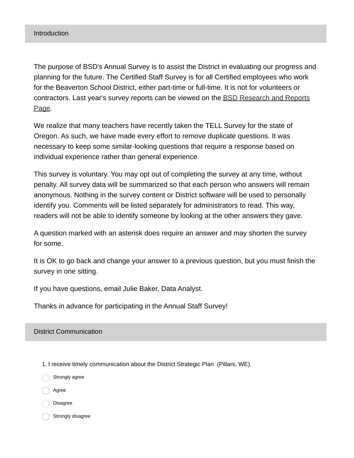The purpose of BSD's Annual Survey is to assist the District in evaluating our progress and planning for the future. The Certified Staff Survey is for all Certified employees who work for the Beaverton School District, either part-time or full-time. It is not for volunteers or [contractors.](https://www.beaverton.k12.or.us/district/research-reports) Last year's survey reports can be viewed on the BSD Research and Reports Page.

We realize that many teachers have recently taken the TELL Survey for the state of Oregon. As such, we have made every effort to remove duplicate questions. It was necessary to keep some similar-looking questions that require a response based on individual experience rather than general experience.

This survey is voluntary. You may opt out of completing the survey at any time, without penalty. All survey data will be summarized so that each person who answers will remain anonymous. Nothing in the survey content or District software will be used to personally identify you. Comments will be listed separately for administrators to read. This way, readers will not be able to identify someone by looking at the other answers they gave.

A question marked with an asterisk does require an answer and may shorten the survey for some.

It is OK to go back and change your answer to a previous question, but you must finish the survey in one sitting.

If you have questions, email Julie Baker, Data Analyst.

Thanks in advance for participating in the Annual Staff Survey!

#### District Communication

1. I receive timely communication about the District Strategic Plan (Pillars, WE).

Strongly agree

Agree

Disagree

Strongly disagree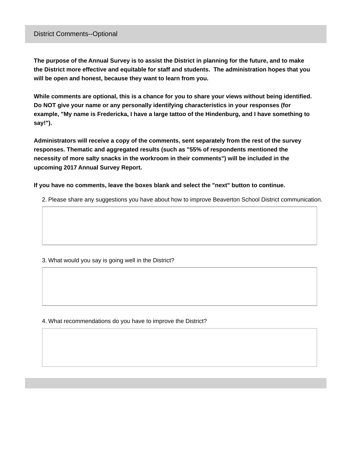#### District Comments--Optional

The purpose of the Annual Survey is to assist the District in planning for the future, and to make **the District more effective and equitable for staff and students. The administration hopes that you will be open and honest, because they want to learn from you.**

**While comments are optional, this is a chance for you to share your views without being identified. Do NOT give your name or any personally identifying characteristics in your responses (for example, "My name is Fredericka, I have a large tattoo of the Hindenburg, and I have something to say!").**

**Administrators will receive a copy of the comments, sent separately from the rest of the survey responses. Thematic and aggregated results (such as "55% of respondents mentioned the necessity of more salty snacks in the workroom in their comments") will be included in the upcoming 2017 Annual Survey Report.**

**If you have no comments, leave the boxes blank and select the "next" button to continue.**

2. Please share any suggestions you have about how to improve Beaverton School District communication.

#### 3. What would you say is going well in the District?

4. What recommendations do you have to improve the District?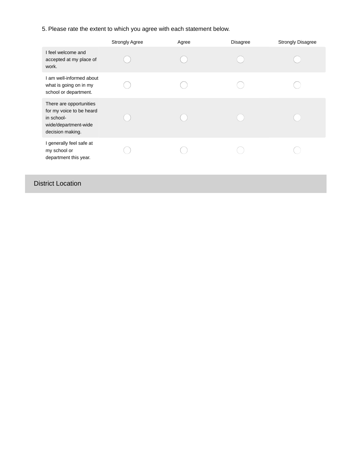5. Please rate the extent to which you agree with each statement below.

|                                                                                                               | <b>Strongly Agree</b> | Agree | <b>Disagree</b> | <b>Strongly Disagree</b> |
|---------------------------------------------------------------------------------------------------------------|-----------------------|-------|-----------------|--------------------------|
| I feel welcome and<br>accepted at my place of<br>work.                                                        |                       |       |                 |                          |
| I am well-informed about<br>what is going on in my<br>school or department.                                   |                       |       |                 |                          |
| There are opportunities<br>for my voice to be heard<br>in school-<br>wide/department-wide<br>decision making. |                       |       |                 |                          |
| I generally feel safe at<br>my school or<br>department this year.                                             |                       |       |                 |                          |
| <b>District Location</b>                                                                                      |                       |       |                 |                          |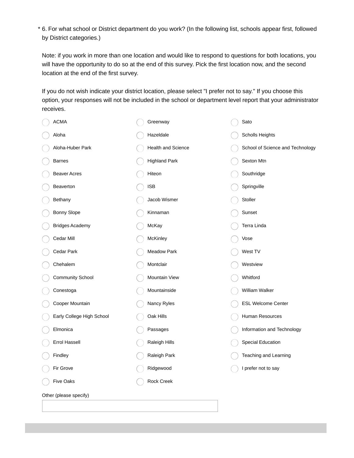6. For what school or District department do you work? (In the following list, schools appear first, followed \* by District categories.)

Note: if you work in more than one location and would like to respond to questions for both locations, you will have the opportunity to do so at the end of this survey. Pick the first location now, and the second location at the end of the first survey.

If you do not wish indicate your district location, please select "I prefer not to say." If you choose this option, your responses will not be included in the school or department level report that your administrator receives.

| <b>ACMA</b>               | Greenway             | Sato                             |
|---------------------------|----------------------|----------------------------------|
| Aloha                     | Hazeldale            | <b>Scholls Heights</b>           |
| Aloha-Huber Park          | Health and Science   | School of Science and Technology |
| <b>Barnes</b>             | <b>Highland Park</b> | Sexton Mtn                       |
| <b>Beaver Acres</b>       | Hiteon               | Southridge                       |
| Beaverton                 | <b>ISB</b>           | Springville                      |
| Bethany                   | Jacob Wismer         | Stoller                          |
| Bonny Slope               | Kinnaman             | Sunset                           |
| <b>Bridges Academy</b>    | McKay                | Terra Linda                      |
| Cedar Mill                | McKinley             | Vose                             |
| Cedar Park                | Meadow Park          | West TV                          |
| Chehalem                  | Montclair            | Westview                         |
| <b>Community School</b>   | Mountain View        | Whitford                         |
| Conestoga                 | Mountainside         | William Walker                   |
| Cooper Mountain           | Nancy Ryles          | ESL Welcome Center               |
| Early College High School | Oak Hills            | Human Resources                  |
| Elmonica                  | Passages             | Information and Technology       |
| Errol Hassell             | Raleigh Hills        | <b>Special Education</b>         |
| Findley                   | Raleigh Park         | Teaching and Learning            |
| Fir Grove                 | Ridgewood            | I prefer not to say              |
| <b>Five Oaks</b>          | Rock Creek           |                                  |
|                           |                      |                                  |

Other (please specify)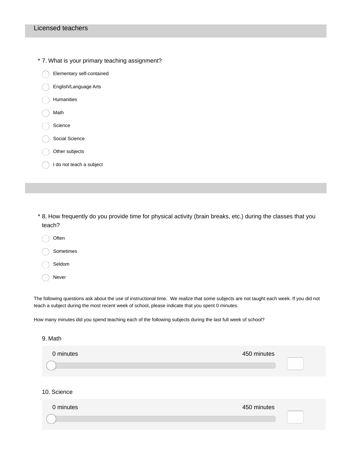\* 7. What is your primary teaching assignment?

Elementary self-contained English/Language Arts Humanities Math Science Social Science Other subjects I do not teach a subject

8. How frequently do you provide time for physical activity (brain breaks, etc.) during the classes that you \* teach?

Often Sometimes Seldom Never

The following questions ask about the use of instructional time. We realize that some subjects are not taught each week. If you did not teach a subject during the most recent week of school, please indicate that you spent 0 minutes.

How many minutes did you spend teaching each of the following subjects during the last full week of school?

#### 9. Math

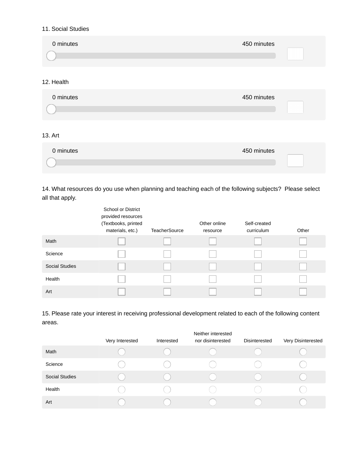#### 11. Social Studies

| 0 minutes | 450 minutes |
|-----------|-------------|
|           |             |

### 12. Health

| 0 minutes | 450 minutes |
|-----------|-------------|
|           |             |

### 13. Art

| 0 minutes | 450 minutes |
|-----------|-------------|
|           |             |

14. What resources do you use when planning and teaching each of the following subjects? Please select all that apply.

|                       | <b>School or District</b><br>provided resources<br>(Textbooks, printed<br>materials, etc.) | <b>TeacherSource</b> | Other online<br>resource | Self-created<br>curriculum | Other |
|-----------------------|--------------------------------------------------------------------------------------------|----------------------|--------------------------|----------------------------|-------|
| Math                  |                                                                                            |                      |                          |                            |       |
| Science               |                                                                                            |                      |                          |                            |       |
| <b>Social Studies</b> |                                                                                            |                      |                          |                            |       |
| Health                |                                                                                            |                      |                          |                            |       |
| Art                   |                                                                                            |                      |                          |                            |       |

15. Please rate your interest in receiving professional development related to each of the following content areas.

|                       |                 |            | Neither interested |               |                    |
|-----------------------|-----------------|------------|--------------------|---------------|--------------------|
|                       | Very Interested | Interested | nor disinterested  | Disinterested | Very Disinterested |
| Math                  |                 |            |                    |               |                    |
| Science               |                 |            |                    |               |                    |
| <b>Social Studies</b> |                 |            |                    |               |                    |
| Health                |                 |            |                    |               |                    |
| Art                   |                 |            |                    |               |                    |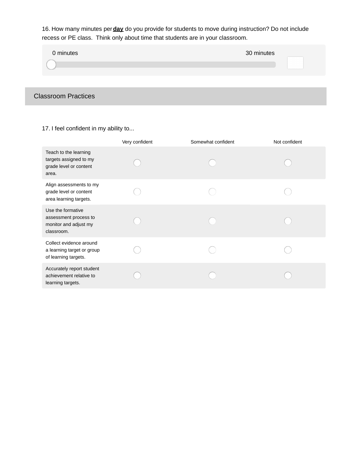16. How many minutes per **day** do you provide for students to move during instruction? Do not include recess or PE class. Think only about time that students are in your classroom.

| 0 minutes | 30 minutes |
|-----------|------------|
|           |            |
|           |            |

# Classroom Practices

17. I feel confident in my ability to...

|                                                                                    | Very confident | Somewhat confident | Not confident |
|------------------------------------------------------------------------------------|----------------|--------------------|---------------|
| Teach to the learning<br>targets assigned to my<br>grade level or content<br>area. |                |                    |               |
| Align assessments to my<br>grade level or content<br>area learning targets.        |                |                    |               |
| Use the formative<br>assessment process to<br>monitor and adjust my<br>classroom.  |                |                    |               |
| Collect evidence around<br>a learning target or group<br>of learning targets.      |                |                    |               |
| Accurately report student<br>achievement relative to<br>learning targets.          |                |                    |               |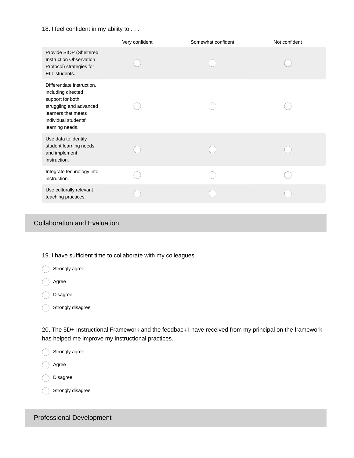#### 18. I feel confident in my ability to . . .

|                                                                                                                                                                   | Very confident | Somewhat confident | Not confident |
|-------------------------------------------------------------------------------------------------------------------------------------------------------------------|----------------|--------------------|---------------|
| Provide SIOP (Sheltered<br><b>Instruction Observation</b><br>Protocol) strategies for<br>ELL students.                                                            |                |                    |               |
| Differentiate instruction,<br>including directed<br>support for both<br>struggling and advanced<br>learners that meets<br>individual students'<br>learning needs. |                |                    |               |
| Use data to identify<br>student learning needs<br>and implement<br>instruction.                                                                                   |                |                    |               |
| Integrate technology into<br>instruction.                                                                                                                         |                |                    |               |
| Use culturally relevant<br>teaching practices.                                                                                                                    |                |                    |               |
|                                                                                                                                                                   |                |                    |               |

## Collaboration and Evaluation

19. I have sufficient time to collaborate with my colleagues.

| Strongly agree |  |
|----------------|--|
|                |  |

agree

Disagree

Strongly disagree

20. The 5D+ Instructional Framework and the feedback I have received from my principal on the framework has helped me improve my instructional practices.

Strongly agree

Agree

Disagree

Strongly disagree

### Professional Development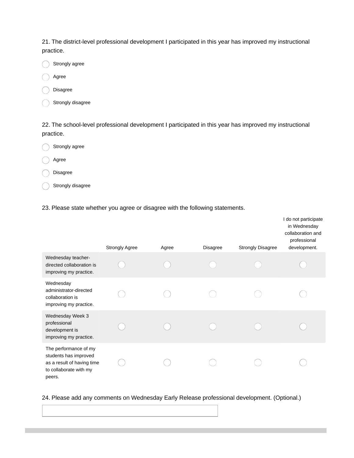21. The district-level professional development I participated in this year has improved my instructional practice.

- Strongly agree
- Agree
- Disagree
- Strongly disagree

22. The school-level professional development I participated in this year has improved my instructional practice.

- Strongly agree
- Agree
- Disagree
- Strongly disagree
- 23. Please state whether you agree or disagree with the following statements.

|                                                                                                                  | <b>Strongly Agree</b> | Agree | <b>Disagree</b> | <b>Strongly Disagree</b> | I do not participate<br>in Wednesday<br>collaboration and<br>professional<br>development. |
|------------------------------------------------------------------------------------------------------------------|-----------------------|-------|-----------------|--------------------------|-------------------------------------------------------------------------------------------|
| Wednesday teacher-<br>directed collaboration is<br>improving my practice.                                        |                       |       |                 |                          |                                                                                           |
| Wednesday<br>administrator-directed<br>collaboration is<br>improving my practice.                                |                       |       |                 |                          |                                                                                           |
| Wednesday Week 3<br>professional<br>development is<br>improving my practice.                                     |                       |       |                 |                          |                                                                                           |
| The performance of my<br>students has improved<br>as a result of having time<br>to collaborate with my<br>peers. |                       |       |                 |                          |                                                                                           |

#### 24. Please add any comments on Wednesday Early Release professional development. (Optional.)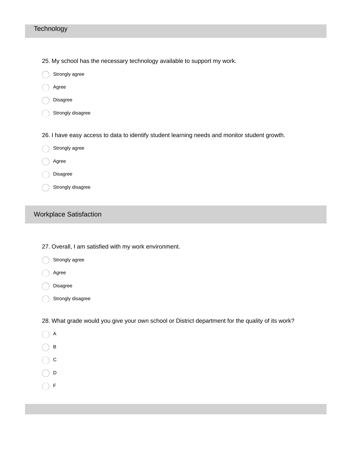#### **Technology**

- 25. My school has the necessary technology available to support my work.
- 0 Strongly agree
- Agree
- Disagree
- Strongly disagree
- 26. I have easy access to data to identify student learning needs and monitor student growth.
- Strongly agree
- Agree
- Disagree
- Strongly disagree

### Workplace Satisfaction

- 27. Overall, I am satisfied with my work environment.
- Strongly agree
- Agree
- Disagree
- $\bigcirc$  Strongly disagree
- 28. What grade would you give your own school or District department for the quality of its work?
- $\bigcap$  A
- $\bigcirc$  B
- $\bigcirc$  c
- $\bigcirc$  D
- $\bigcirc$  F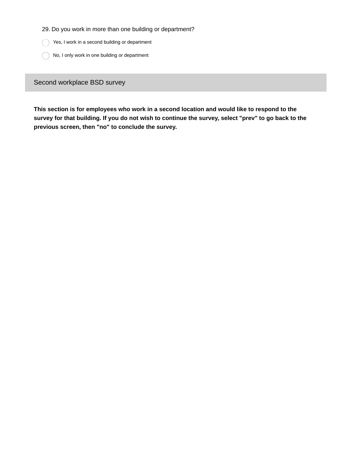29. Do you work in more than one building or department?

Yes, I work in a second building or department

No, I only work in one building or department

Second workplace BSD survey

**This section is for employees who work in a second location and would like to respond to the** survey for that building. If you do not wish to continue the survey, select "prev" to go back to the **previous screen, then "no" to conclude the survey.**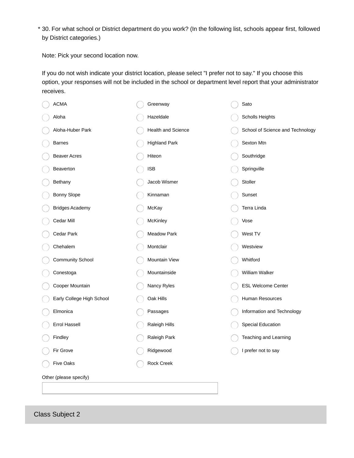30. For what school or District department do you work? (In the following list, schools appear first, followed \* by District categories.)

Note: Pick your second location now.

If you do not wish indicate your district location, please select "I prefer not to say." If you choose this option, your responses will not be included in the school or department level report that your administrator receives.

| <b>ACMA</b>               | Greenway             | Sato                             |
|---------------------------|----------------------|----------------------------------|
| Aloha                     | Hazeldale            | Scholls Heights                  |
| Aloha-Huber Park          | Health and Science   | School of Science and Technology |
| <b>Barnes</b>             | <b>Highland Park</b> | Sexton Mtn                       |
| <b>Beaver Acres</b>       | Hiteon               | Southridge                       |
| Beaverton                 | <b>ISB</b>           | Springville                      |
| Bethany                   | Jacob Wismer         | Stoller                          |
| Bonny Slope               | Kinnaman             | Sunset                           |
| <b>Bridges Academy</b>    | McKay                | Terra Linda                      |
| Cedar Mill                | McKinley             | Vose                             |
| Cedar Park                | Meadow Park          | West TV                          |
| Chehalem                  | Montclair            | Westview                         |
| <b>Community School</b>   | Mountain View        | Whitford                         |
| Conestoga                 | Mountainside         | William Walker                   |
| Cooper Mountain           | Nancy Ryles          | ESL Welcome Center               |
| Early College High School | Oak Hills            | Human Resources                  |
| Elmonica                  | Passages             | Information and Technology       |
| Errol Hassell             | Raleigh Hills        | <b>Special Education</b>         |
| Findley                   | Raleigh Park         | Teaching and Learning            |
| Fir Grove                 | Ridgewood            | I prefer not to say              |
| <b>Five Oaks</b>          | Rock Creek           |                                  |
| Other (please specify)    |                      |                                  |
|                           |                      |                                  |

Class Subject 2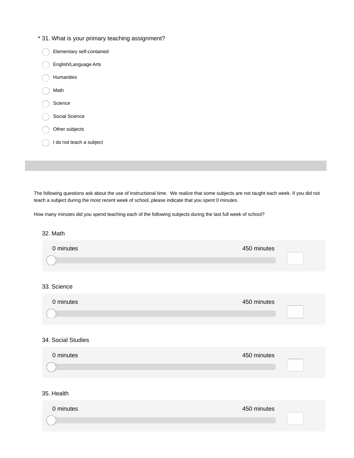### \* 31. What is your primary teaching assignment?

|                | Elementary self-contained |
|----------------|---------------------------|
|                | English/Language Arts     |
| Humanities     |                           |
| Math           |                           |
| Science        |                           |
| Social Science |                           |
| Other subjects |                           |
|                | I do not teach a subject  |

The following questions ask about the use of instructional time. We realize that some subjects are not taught each week. If you did not teach a subject during the most recent week of school, please indicate that you spent 0 minutes.

How many minutes did you spend teaching each of the following subjects during the last full week of school?

#### 32. Math

| 0 minutes          | 450 minutes |  |
|--------------------|-------------|--|
| 33. Science        |             |  |
| 0 minutes          | 450 minutes |  |
| 34. Social Studies |             |  |
| 0 minutes          | 450 minutes |  |
| 35. Health         |             |  |
| 0 minutes          | 450 minutes |  |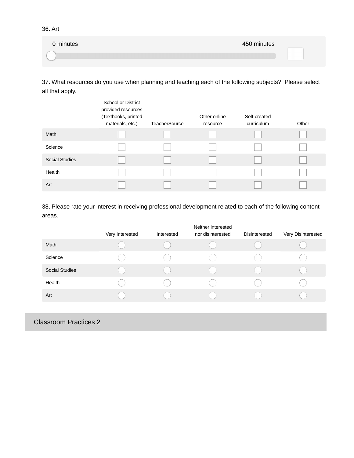36. Art

| 0 minutes | 450 minutes |
|-----------|-------------|
|           |             |

37. What resources do you use when planning and teaching each of the following subjects? Please select all that apply.

|                       | <b>School or District</b><br>provided resources<br>(Textbooks, printed<br>materials, etc.) | <b>TeacherSource</b> | Other online<br>resource | Self-created<br>curriculum | Other |
|-----------------------|--------------------------------------------------------------------------------------------|----------------------|--------------------------|----------------------------|-------|
| Math                  |                                                                                            |                      |                          |                            |       |
| Science               |                                                                                            |                      |                          |                            |       |
| <b>Social Studies</b> |                                                                                            |                      |                          |                            |       |
| Health                |                                                                                            |                      |                          |                            |       |
| Art                   |                                                                                            |                      |                          |                            |       |

38. Please rate your interest in receiving professional development related to each of the following content areas.

|                       | Very Interested | Interested | Neither interested<br>nor disinterested | Disinterested | Very Disinterested |
|-----------------------|-----------------|------------|-----------------------------------------|---------------|--------------------|
| Math                  |                 |            |                                         |               |                    |
| Science               |                 |            |                                         |               |                    |
| <b>Social Studies</b> |                 |            |                                         |               |                    |
| Health                |                 |            |                                         |               |                    |
| Art                   |                 |            |                                         |               |                    |
|                       |                 |            |                                         |               |                    |

Classroom Practices 2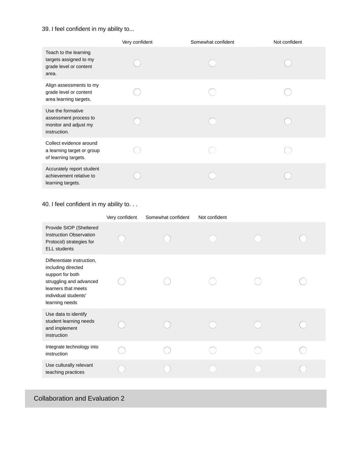### 39. I feel confident in my ability to...

|                                                                                     | Very confident | Somewhat confident | Not confident |
|-------------------------------------------------------------------------------------|----------------|--------------------|---------------|
| Teach to the learning<br>targets assigned to my<br>grade level or content<br>area.  |                |                    |               |
| Align assessments to my<br>grade level or content<br>area learning targets.         |                |                    |               |
| Use the formative<br>assessment process to<br>monitor and adjust my<br>instruction. |                |                    |               |
| Collect evidence around<br>a learning target or group<br>of learning targets.       |                |                    |               |
| Accurately report student<br>achievement relative to<br>learning targets.           |                |                    |               |

### 40. I feel confident in my ability to. . .

|                                                                                                                                                                  | Very confident | Somewhat confident | Not confident |  |
|------------------------------------------------------------------------------------------------------------------------------------------------------------------|----------------|--------------------|---------------|--|
| Provide SIOP (Sheltered<br><b>Instruction Observation</b><br>Protocol) strategies for<br><b>ELL</b> students                                                     |                |                    |               |  |
| Differentiate instruction,<br>including directed<br>support for both<br>struggling and advanced<br>learners that meets<br>individual students'<br>learning needs |                |                    |               |  |
| Use data to identify<br>student learning needs<br>and implement<br>instruction                                                                                   |                |                    |               |  |
| Integrate technology into<br>instruction                                                                                                                         |                |                    |               |  |
| Use culturally relevant<br>teaching practices                                                                                                                    |                |                    |               |  |

# Collaboration and Evaluation 2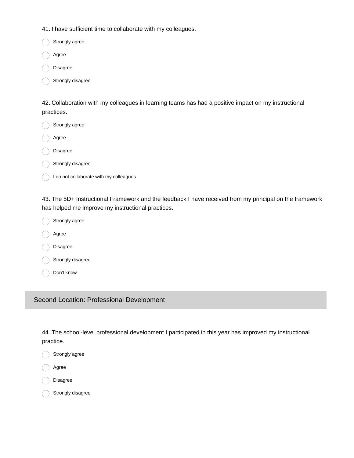41. I have sufficient time to collaborate with my colleagues.

Strongly agree

Agree

Disagree

Strongly disagree

42. Collaboration with my colleagues in learning teams has had a positive impact on my instructional practices.

| Strongly agree                          |
|-----------------------------------------|
| Agree                                   |
| Disagree                                |
| Strongly disagree                       |
| I do not collaborate with my colleagues |
|                                         |

43. The 5D+ Instructional Framework and the feedback I have received from my principal on the framework has helped me improve my instructional practices.

| Strongly agree    |
|-------------------|
| Agree             |
| Disagree          |
| Strongly disagree |
| Don't know        |

Second Location: Professional Development

44. The school-level professional development I participated in this year has improved my instructional practice.

- Strongly agree
- Agree
- Disagree

Strongly disagree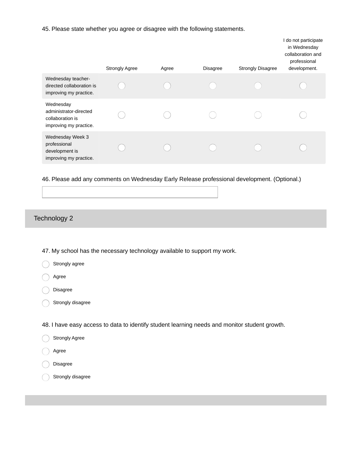45. Please state whether you agree or disagree with the following statements.

|                                                                                   | <b>Strongly Agree</b> | Agree | <b>Disagree</b> | <b>Strongly Disagree</b> | I do not participate<br>in Wednesday<br>collaboration and<br>professional<br>development. |
|-----------------------------------------------------------------------------------|-----------------------|-------|-----------------|--------------------------|-------------------------------------------------------------------------------------------|
| Wednesday teacher-<br>directed collaboration is<br>improving my practice.         |                       |       |                 |                          |                                                                                           |
| Wednesday<br>administrator-directed<br>collaboration is<br>improving my practice. |                       |       |                 |                          |                                                                                           |
| Wednesday Week 3<br>professional<br>development is<br>improving my practice.      |                       |       |                 |                          |                                                                                           |

46. Please add any comments on Wednesday Early Release professional development. (Optional.)

### Technology 2

47. My school has the necessary technology available to support my work.

Strongly agree

Agree

Disagree

Strongly disagree

48. I have easy access to data to identify student learning needs and monitor student growth.

Strongly Agree

Agree

Disagree

Strongly disagree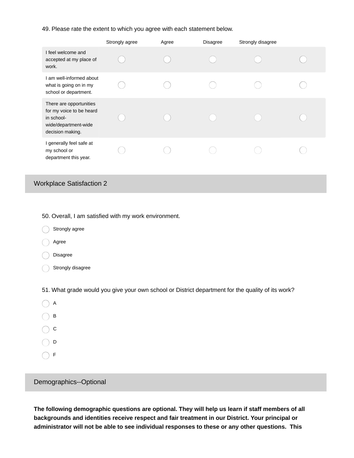49. Please rate the extent to which you agree with each statement below.

|                                                                                                               | Strongly agree | Agree | <b>Disagree</b> | Strongly disagree |  |
|---------------------------------------------------------------------------------------------------------------|----------------|-------|-----------------|-------------------|--|
| I feel welcome and<br>accepted at my place of<br>work.                                                        |                |       |                 |                   |  |
| I am well-informed about<br>what is going on in my<br>school or department.                                   |                |       |                 |                   |  |
| There are opportunities<br>for my voice to be heard<br>in school-<br>wide/department-wide<br>decision making. |                |       |                 |                   |  |
| I generally feel safe at<br>my school or<br>department this year.                                             |                |       |                 |                   |  |

### Workplace Satisfaction 2

50. Overall, I am satisfied with my work environment.

- Strongly agree
- Agree

Disagree

Strongly disagree

51. What grade would you give your own school or District department for the quality of its work?

- $\bigcap$  A  $\bigcirc$  B  $\bigcirc$  c  $\bigcirc$  D
- $\bigcap$  F

#### Demographics--Optional

**The following demographic questions are optional. They will help us learn if staff members of all backgrounds and identities receive respect and fair treatment in our District. Your principal or administrator will not be able to see individual responses to these or any other questions. This**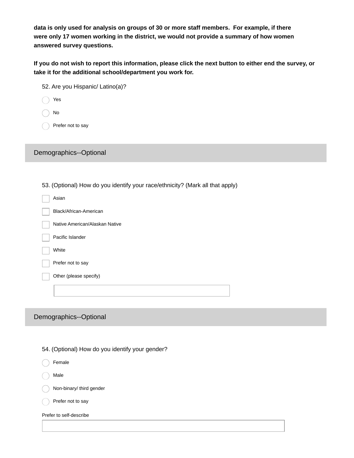**data is only used for analysis on groups of 30 or more staff members. For example, if there were only 17 women working in the district, we would not provide a summary of how women answered survey questions.**

If you do not wish to report this information, please click the next button to either end the survey, or **take it for the additional school/department you work for.**

| 52. Are you Hispanic/ Latino(a)?                                              |
|-------------------------------------------------------------------------------|
| Yes                                                                           |
| No                                                                            |
| Prefer not to say                                                             |
|                                                                               |
| Demographics--Optional                                                        |
|                                                                               |
| 53. (Optional) How do you identify your race/ethnicity? (Mark all that apply) |
| Asian                                                                         |
| Black/African-American                                                        |
| Native American/Alaskan Native                                                |
| Pacific Islander                                                              |
| White                                                                         |
| Prefer not to say                                                             |
| Other (please specify)                                                        |
|                                                                               |
|                                                                               |

### Demographics--Optional

|  | 54. (Optional) How do you identify your gender? |  |
|--|-------------------------------------------------|--|
|  |                                                 |  |
|  |                                                 |  |

Female

Male

Non-binary/ third gender

Prefer not to say

Prefer to self-describe